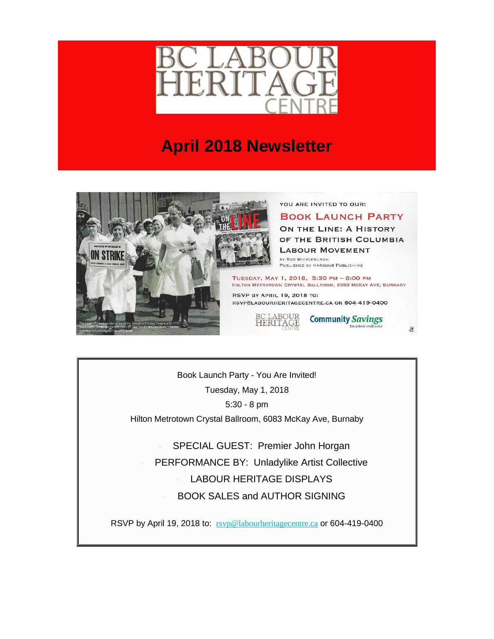

## **April 2018 Newsletter**



YOU ARE INVITED TO OUR:

**BOOK LAUNCH PARTY** ON THE LINE: A HISTORY OF THE BRITISH COLUMBIA **LABOUR MOVEMENT TY ROD MICKLEBURGH** 

PUBLISHED BY HARBOUR PUBLISHING

TUESDAY, MAY 1, 2018, 5:30 PM - 8:00 PM HILTON METROTOWN CRYSTAL BALLROOM, 6083 MCKAY AVE, BURNABY

RSVP BY APRIL 19, 2018 TO: RSVP@LABOURHERITAGECENTRE.CA OR 604-419-0400

BC LABOUR<br>HERITAGE



 $\mathcal{Q}$ 

Book Launch Party - You Are Invited! Tuesday, May 1, 2018 5:30 - 8 pm Hilton Metrotown Crystal Ballroom, 6083 McKay Ave, Burnaby

SPECIAL GUEST: Premier John Horgan • PERFORMANCE BY: Unladylike Artist Collective LABOUR HERITAGE DISPLAYS • BOOK SALES and AUTHOR SIGNING

RSVP by April 19, 2018 to: [rsvp@labourheritagecentre.ca](mailto:rsvp@labourheritagecentre.ca?subject=Book%20Launch%20Party) or 604-419-0400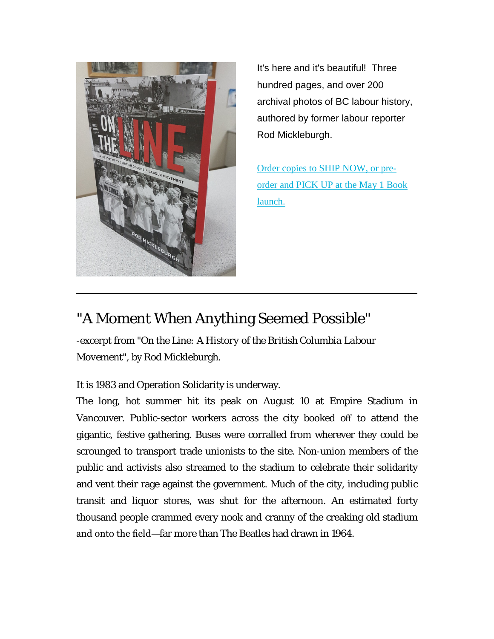

It's here and it's beautiful! Three hundred pages, and over 200 archival photos of BC labour history, authored by former labour reporter Rod Mickleburgh.

[Order copies to SHIP NOW, or pre](https://labourheritagecentre.us11.list-manage.com/track/click?u=b23ed6ed54b024abb4a310921&id=8e16b8018a&e=5ec666d8ef)[order and PICK UP at the May 1 Book](https://labourheritagecentre.us11.list-manage.com/track/click?u=b23ed6ed54b024abb4a310921&id=8e16b8018a&e=5ec666d8ef)  [launch.](https://labourheritagecentre.us11.list-manage.com/track/click?u=b23ed6ed54b024abb4a310921&id=8e16b8018a&e=5ec666d8ef)

## "A Moment When Anything Seemed Possible"

-excerpt from "*On the Line: A History of the British Columbia Labour Movement*", by Rod Mickleburgh.

It is 1983 and Operation Solidarity is underway.

The long, hot summer hit its peak on August 10 at Empire Stadium in Vancouver. Public-sector workers across the city booked off to attend the gigantic, festive gathering. Buses were corralled from wherever they could be scrounged to transport trade unionists to the site. Non-union members of the public and activists also streamed to the stadium to celebrate their solidarity and vent their rage against the government. Much of the city, including public transit and liquor stores, was shut for the afternoon. An estimated forty thousand people crammed every nook and cranny of the creaking old stadium and onto the field—far more than The Beatles had drawn in 1964.